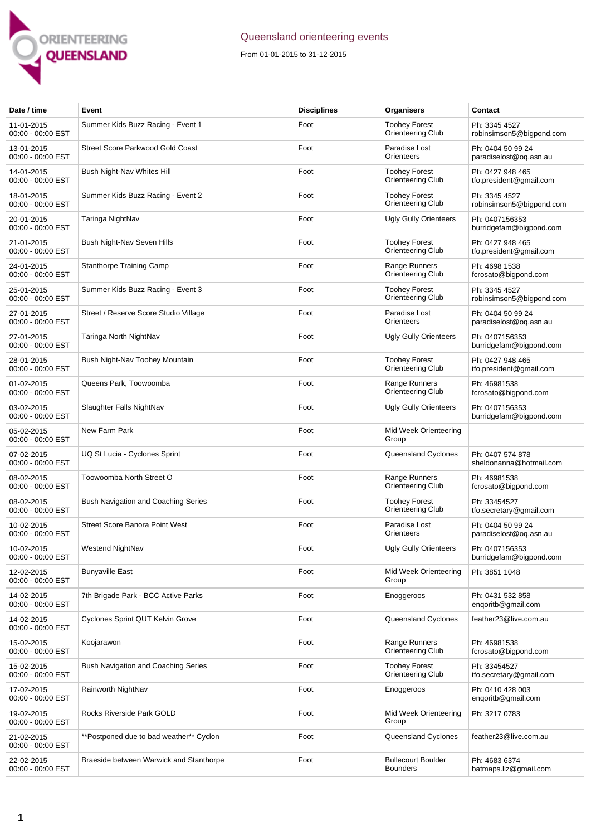

## Queensland orienteering events

From 01-01-2015 to 31-12-2015

| Date / time                     | Event                                   | <b>Disciplines</b> | Organisers                                   | Contact                                     |
|---------------------------------|-----------------------------------------|--------------------|----------------------------------------------|---------------------------------------------|
| 11-01-2015<br>00:00 - 00:00 EST | Summer Kids Buzz Racing - Event 1       | Foot               | <b>Toohey Forest</b><br>Orienteering Club    | Ph: 3345 4527<br>robinsimson5@bigpond.com   |
| 13-01-2015<br>00:00 - 00:00 EST | <b>Street Score Parkwood Gold Coast</b> | Foot               | Paradise Lost<br>Orienteers                  | Ph: 0404 50 99 24<br>paradiselost@og.asn.au |
| 14-01-2015<br>00:00 - 00:00 EST | Bush Night-Nav Whites Hill              | Foot               | <b>Toohey Forest</b><br>Orienteering Club    | Ph: 0427 948 465<br>tfo.president@gmail.com |
| 18-01-2015<br>00:00 - 00:00 EST | Summer Kids Buzz Racing - Event 2       | Foot               | <b>Toohey Forest</b><br>Orienteering Club    | Ph: 3345 4527<br>robinsimson5@bigpond.com   |
| 20-01-2015<br>00:00 - 00:00 EST | Taringa NightNav                        | Foot               | <b>Ugly Gully Orienteers</b>                 | Ph: 0407156353<br>burridgefam@bigpond.com   |
| 21-01-2015<br>00:00 - 00:00 EST | Bush Night-Nav Seven Hills              | Foot               | <b>Toohey Forest</b><br>Orienteering Club    | Ph: 0427 948 465<br>tfo.president@gmail.com |
| 24-01-2015<br>00:00 - 00:00 EST | Stanthorpe Training Camp                | Foot               | Range Runners<br>Orienteering Club           | Ph: 4698 1538<br>fcrosato@bigpond.com       |
| 25-01-2015<br>00:00 - 00:00 EST | Summer Kids Buzz Racing - Event 3       | Foot               | <b>Toohey Forest</b><br>Orienteering Club    | Ph: 3345 4527<br>robinsimson5@bigpond.com   |
| 27-01-2015<br>00:00 - 00:00 EST | Street / Reserve Score Studio Village   | Foot               | Paradise Lost<br>Orienteers                  | Ph: 0404 50 99 24<br>paradiselost@og.asn.au |
| 27-01-2015<br>00:00 - 00:00 EST | Taringa North NightNav                  | Foot               | <b>Ugly Gully Orienteers</b>                 | Ph: 0407156353<br>burridgefam@bigpond.com   |
| 28-01-2015<br>00:00 - 00:00 EST | Bush Night-Nav Toohey Mountain          | Foot               | <b>Toohey Forest</b><br>Orienteering Club    | Ph: 0427 948 465<br>tfo.president@gmail.com |
| 01-02-2015<br>00:00 - 00:00 EST | Queens Park, Toowoomba                  | Foot               | Range Runners<br>Orienteering Club           | Ph: 46981538<br>fcrosato@bigpond.com        |
| 03-02-2015<br>00:00 - 00:00 EST | Slaughter Falls NightNav                | Foot               | <b>Ugly Gully Orienteers</b>                 | Ph: 0407156353<br>burridgefam@bigpond.com   |
| 05-02-2015<br>00:00 - 00:00 EST | New Farm Park                           | Foot               | Mid Week Orienteering<br>Group               |                                             |
| 07-02-2015<br>00:00 - 00:00 EST | UQ St Lucia - Cyclones Sprint           | Foot               | Queensland Cyclones                          | Ph: 0407 574 878<br>sheldonanna@hotmail.com |
| 08-02-2015<br>00:00 - 00:00 EST | Toowoomba North Street O                | Foot               | Range Runners<br>Orienteering Club           | Ph: 46981538<br>fcrosato@bigpond.com        |
| 08-02-2015<br>00:00 - 00:00 EST | Bush Navigation and Coaching Series     | Foot               | <b>Toohey Forest</b><br>Orienteering Club    | Ph: 33454527<br>tfo.secretary@gmail.com     |
| 10-02-2015<br>00:00 - 00:00 EST | <b>Street Score Banora Point West</b>   | Foot               | Paradise Lost<br>Orienteers                  | Ph: 0404 50 99 24<br>paradiselost@og.asn.au |
| 10-02-2015<br>00:00 - 00:00 EST | Westend NightNav                        | Foot               | <b>Ugly Gully Orienteers</b>                 | Ph: 0407156353<br>burridgefam@bigpond.com   |
| 12-02-2015<br>00:00 - 00:00 EST | <b>Bunyaville East</b>                  | Foot               | Mid Week Orienteering<br>Group               | Ph: 3851 1048                               |
| 14-02-2015<br>00:00 - 00:00 EST | 7th Brigade Park - BCC Active Parks     | Foot               | Enoggeroos                                   | Ph: 0431 532 858<br>engoritb@gmail.com      |
| 14-02-2015<br>00:00 - 00:00 EST | Cyclones Sprint QUT Kelvin Grove        | Foot               | Queensland Cyclones                          | feather23@live.com.au                       |
| 15-02-2015<br>00:00 - 00:00 EST | Koojarawon                              | Foot               | Range Runners<br>Orienteering Club           | Ph: 46981538<br>fcrosato@bigpond.com        |
| 15-02-2015<br>00:00 - 00:00 EST | Bush Navigation and Coaching Series     | Foot               | <b>Toohey Forest</b><br>Orienteering Club    | Ph: 33454527<br>tfo.secretary@gmail.com     |
| 17-02-2015<br>00:00 - 00:00 EST | Rainworth NightNav                      | Foot               | Enoggeroos                                   | Ph: 0410 428 003<br>enqoritb@gmail.com      |
| 19-02-2015<br>00:00 - 00:00 EST | Rocks Riverside Park GOLD               | Foot               | Mid Week Orienteering<br>Group               | Ph: 3217 0783                               |
| 21-02-2015<br>00:00 - 00:00 EST | **Postponed due to bad weather** Cyclon | Foot               | Queensland Cyclones                          | feather23@live.com.au                       |
| 22-02-2015<br>00:00 - 00:00 EST | Braeside between Warwick and Stanthorpe | Foot               | <b>Bullecourt Boulder</b><br><b>Bounders</b> | Ph: 4683 6374<br>batmaps.liz@gmail.com      |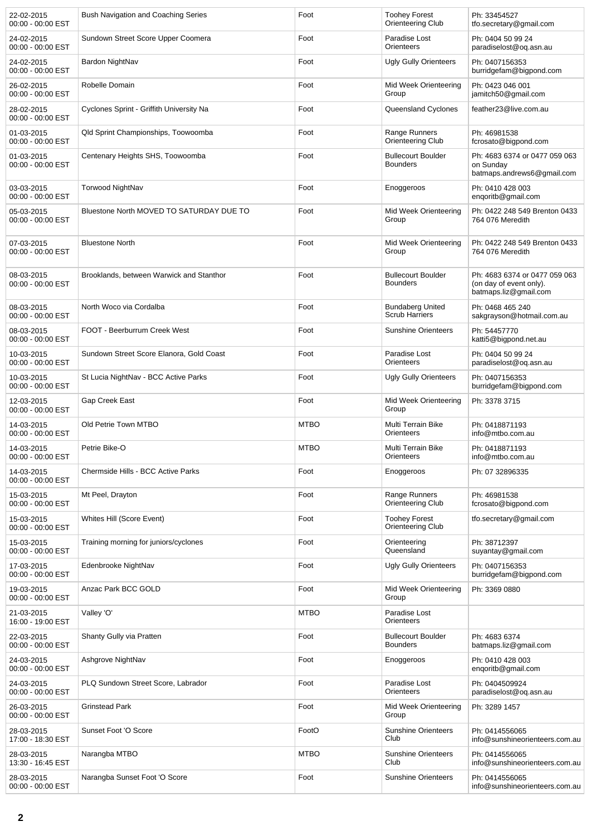| 22-02-2015<br>00:00 - 00:00 EST   | Bush Navigation and Coaching Series      | Foot        | <b>Toohey Forest</b><br>Orienteering Club        | Ph: 33454527<br>tfo.secretary@gmail.com                                           |
|-----------------------------------|------------------------------------------|-------------|--------------------------------------------------|-----------------------------------------------------------------------------------|
| 24-02-2015<br>$00:00 - 00:00$ EST | Sundown Street Score Upper Coomera       | Foot        | Paradise Lost<br>Orienteers                      | Ph: 0404 50 99 24<br>paradiselost@og.asn.au                                       |
| 24-02-2015<br>00:00 - 00:00 EST   | Bardon NightNav                          | Foot        | <b>Ugly Gully Orienteers</b>                     | Ph: 0407156353<br>burridgefam@bigpond.com                                         |
| 26-02-2015<br>00:00 - 00:00 EST   | Robelle Domain                           | Foot        | Mid Week Orienteering<br>Group                   | Ph: 0423 046 001<br>jamitch50@gmail.com                                           |
| 28-02-2015<br>00:00 - 00:00 EST   | Cyclones Sprint - Griffith University Na | Foot        | Queensland Cyclones                              | feather23@live.com.au                                                             |
| 01-03-2015<br>00:00 - 00:00 EST   | Qld Sprint Championships, Toowoomba      | Foot        | Range Runners<br><b>Orienteering Club</b>        | Ph: 46981538<br>fcrosato@bigpond.com                                              |
| 01-03-2015<br>00:00 - 00:00 EST   | Centenary Heights SHS, Toowoomba         | Foot        | <b>Bullecourt Boulder</b><br><b>Bounders</b>     | Ph: 4683 6374 or 0477 059 063<br>on Sunday<br>batmaps.andrews6@gmail.com          |
| 03-03-2015<br>00:00 - 00:00 EST   | <b>Torwood NightNav</b>                  | Foot        | Enoggeroos                                       | Ph: 0410 428 003<br>engoritb@gmail.com                                            |
| 05-03-2015<br>00:00 - 00:00 EST   | Bluestone North MOVED TO SATURDAY DUE TO | Foot        | Mid Week Orienteering<br>Group                   | Ph: 0422 248 549 Brenton 0433<br>764 076 Meredith                                 |
| 07-03-2015<br>00:00 - 00:00 EST   | <b>Bluestone North</b>                   | Foot        | Mid Week Orienteering<br>Group                   | Ph: 0422 248 549 Brenton 0433<br>764 076 Meredith                                 |
| 08-03-2015<br>00:00 - 00:00 EST   | Brooklands, between Warwick and Stanthor | Foot        | <b>Bullecourt Boulder</b><br><b>Bounders</b>     | Ph: 4683 6374 or 0477 059 063<br>(on day of event only).<br>batmaps.liz@gmail.com |
| 08-03-2015<br>00:00 - 00:00 EST   | North Woco via Cordalba                  | Foot        | <b>Bundaberg United</b><br><b>Scrub Harriers</b> | Ph: 0468 465 240<br>sakgrayson@hotmail.com.au                                     |
| 08-03-2015<br>00:00 - 00:00 EST   | FOOT - Beerburrum Creek West             | Foot        | <b>Sunshine Orienteers</b>                       | Ph: 54457770<br>katti5@bigpond.net.au                                             |
| 10-03-2015<br>00:00 - 00:00 EST   | Sundown Street Score Elanora, Gold Coast | Foot        | Paradise Lost<br>Orienteers                      | Ph: 0404 50 99 24<br>paradiselost@oq.asn.au                                       |
| 10-03-2015<br>00:00 - 00:00 EST   | St Lucia NightNav - BCC Active Parks     | Foot        | <b>Ugly Gully Orienteers</b>                     | Ph: 0407156353<br>burridgefam@bigpond.com                                         |
| 12-03-2015<br>00:00 - 00:00 EST   | Gap Creek East                           | Foot        | Mid Week Orienteering<br>Group                   | Ph: 3378 3715                                                                     |
| 14-03-2015<br>00:00 - 00:00 EST   | Old Petrie Town MTBO                     | <b>MTBO</b> | Multi Terrain Bike<br>Orienteers                 | Ph: 0418871193<br>info@mtbo.com.au                                                |
| 14-03-2015<br>00:00 - 00:00 EST   | Petrie Bike-O                            | <b>MTBO</b> | Multi Terrain Bike<br>Orienteers                 | Ph: 0418871193<br>info@mtbo.com.au                                                |
| 14-03-2015<br>00:00 - 00:00 EST   | Chermside Hills - BCC Active Parks       | Foot        | Enoggeroos                                       | Ph: 07 32896335                                                                   |
| 15-03-2015<br>00:00 - 00:00 EST   | Mt Peel, Drayton                         | Foot        | Range Runners<br>Orienteering Club               | Ph: 46981538<br>fcrosato@bigpond.com                                              |
| 15-03-2015<br>00:00 - 00:00 EST   | Whites Hill (Score Event)                | Foot        | <b>Toohey Forest</b><br>Orienteering Club        | tfo.secretary@gmail.com                                                           |
| 15-03-2015<br>00:00 - 00:00 EST   | Training morning for juniors/cyclones    | Foot        | Orienteering<br>Queensland                       | Ph: 38712397<br>suyantay@gmail.com                                                |
| 17-03-2015<br>00:00 - 00:00 EST   | Edenbrooke NightNav                      | Foot        | Ugly Gully Orienteers                            | Ph: 0407156353<br>burridgefam@bigpond.com                                         |
| 19-03-2015<br>00:00 - 00:00 EST   | Anzac Park BCC GOLD                      | Foot        | Mid Week Orienteering<br>Group                   | Ph: 3369 0880                                                                     |
| 21-03-2015<br>16:00 - 19:00 EST   | Valley 'O'                               | <b>MTBO</b> | Paradise Lost<br>Orienteers                      |                                                                                   |
| 22-03-2015<br>00:00 - 00:00 EST   | Shanty Gully via Pratten                 | Foot        | <b>Bullecourt Boulder</b><br><b>Bounders</b>     | Ph: 4683 6374<br>batmaps.liz@gmail.com                                            |
| 24-03-2015<br>00:00 - 00:00 EST   | Ashgrove NightNav                        | Foot        | Enoggeroos                                       | Ph: 0410 428 003<br>enqoritb@gmail.com                                            |
| 24-03-2015<br>00:00 - 00:00 EST   | PLQ Sundown Street Score, Labrador       | Foot        | Paradise Lost<br>Orienteers                      | Ph: 0404509924<br>paradiselost@oq.asn.au                                          |
| 26-03-2015<br>00:00 - 00:00 EST   | <b>Grinstead Park</b>                    | Foot        | Mid Week Orienteering<br>Group                   | Ph: 3289 1457                                                                     |
| 28-03-2015<br>17:00 - 18:30 EST   | Sunset Foot 'O Score                     | FootO       | <b>Sunshine Orienteers</b><br>Club               | Ph: 0414556065<br>info@sunshineorienteers.com.au                                  |
| 28-03-2015<br>13:30 - 16:45 EST   | Narangba MTBO                            | <b>MTBO</b> | <b>Sunshine Orienteers</b><br>Club               | Ph: 0414556065<br>info@sunshineorienteers.com.au                                  |
| 28-03-2015<br>00:00 - 00:00 EST   | Narangba Sunset Foot 'O Score            | Foot        | <b>Sunshine Orienteers</b>                       | Ph: 0414556065<br>info@sunshineorienteers.com.au                                  |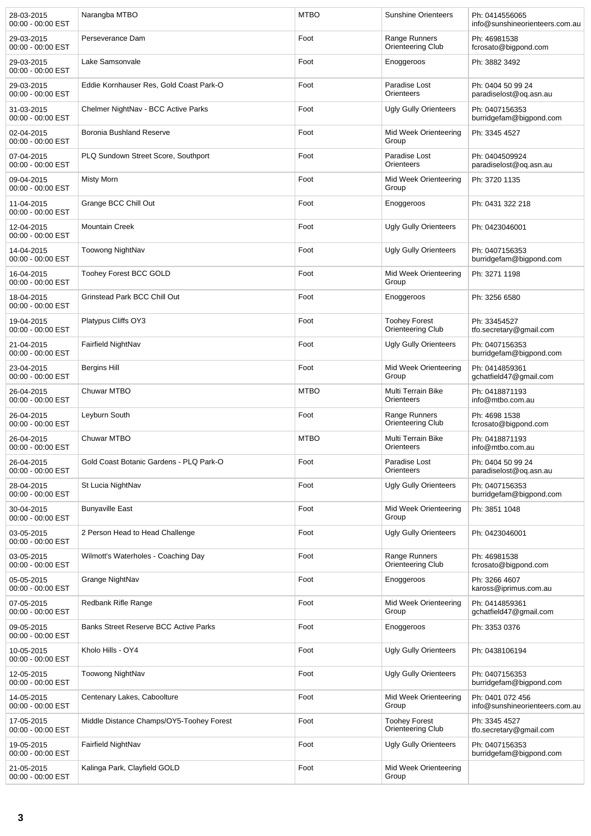| 28-03-2015<br>00:00 - 00:00 EST | Narangba MTBO                                | <b>MTBO</b> | <b>Sunshine Orienteers</b>                | Ph: 0414556065<br>info@sunshineorienteers.com.au   |
|---------------------------------|----------------------------------------------|-------------|-------------------------------------------|----------------------------------------------------|
| 29-03-2015<br>00:00 - 00:00 EST | Perseverance Dam                             | Foot        | Range Runners<br>Orienteering Club        | Ph: 46981538<br>fcrosato@bigpond.com               |
| 29-03-2015<br>00:00 - 00:00 EST | Lake Samsonvale                              | Foot        | Enoggeroos                                | Ph: 3882 3492                                      |
| 29-03-2015<br>00:00 - 00:00 EST | Eddie Kornhauser Res, Gold Coast Park-O      | Foot        | Paradise Lost<br>Orienteers               | Ph: 0404 50 99 24<br>paradiselost@oq.asn.au        |
| 31-03-2015<br>00:00 - 00:00 EST | Chelmer NightNav - BCC Active Parks          | Foot        | <b>Ugly Gully Orienteers</b>              | Ph: 0407156353<br>burridgefam@bigpond.com          |
| 02-04-2015<br>00:00 - 00:00 EST | Boronia Bushland Reserve                     | Foot        | Mid Week Orienteering<br>Group            | Ph: 3345 4527                                      |
| 07-04-2015<br>00:00 - 00:00 EST | PLQ Sundown Street Score, Southport          | Foot        | Paradise Lost<br>Orienteers               | Ph: 0404509924<br>paradiselost@oq.asn.au           |
| 09-04-2015<br>00:00 - 00:00 EST | Misty Morn                                   | Foot        | Mid Week Orienteering<br>Group            | Ph: 3720 1135                                      |
| 11-04-2015<br>00:00 - 00:00 EST | Grange BCC Chill Out                         | Foot        | Enoggeroos                                | Ph: 0431 322 218                                   |
| 12-04-2015<br>00:00 - 00:00 EST | <b>Mountain Creek</b>                        | Foot        | <b>Ugly Gully Orienteers</b>              | Ph: 0423046001                                     |
| 14-04-2015<br>00:00 - 00:00 EST | Toowong NightNav                             | Foot        | <b>Ugly Gully Orienteers</b>              | Ph: 0407156353<br>burridgefam@bigpond.com          |
| 16-04-2015<br>00:00 - 00:00 EST | <b>Toohey Forest BCC GOLD</b>                | Foot        | Mid Week Orienteering<br>Group            | Ph: 3271 1198                                      |
| 18-04-2015<br>00:00 - 00:00 EST | Grinstead Park BCC Chill Out                 | Foot        | Enoggeroos                                | Ph: 3256 6580                                      |
| 19-04-2015<br>00:00 - 00:00 EST | Platypus Cliffs OY3                          | Foot        | <b>Toohey Forest</b><br>Orienteering Club | Ph: 33454527<br>tfo.secretary@gmail.com            |
| 21-04-2015<br>00:00 - 00:00 EST | Fairfield NightNav                           | Foot        | <b>Ugly Gully Orienteers</b>              | Ph: 0407156353<br>burridgefam@bigpond.com          |
| 23-04-2015<br>00:00 - 00:00 EST | Bergins Hill                                 | Foot        | Mid Week Orienteering<br>Group            | Ph: 0414859361<br>gchatfield47@gmail.com           |
| 26-04-2015<br>00:00 - 00:00 EST | <b>Chuwar MTBO</b>                           | <b>MTBO</b> | Multi Terrain Bike<br>Orienteers          | Ph: 0418871193<br>info@mtbo.com.au                 |
| 26-04-2015<br>00:00 - 00:00 EST | Leyburn South                                | Foot        | Range Runners<br>Orienteering Club        | Ph: 4698 1538<br>fcrosato@bigpond.com              |
| 26-04-2015<br>00:00 - 00:00 EST | <b>Chuwar MTBO</b>                           | <b>MTBO</b> | Multi Terrain Bike<br>Orienteers          | Ph: 0418871193<br>info@mtbo.com.au                 |
| 26-04-2015<br>00:00 - 00:00 EST | Gold Coast Botanic Gardens - PLQ Park-O      | Foot        | Paradise Lost<br>Orienteers               | Ph: 0404 50 99 24<br>paradiselost@oq.asn.au        |
| 28-04-2015<br>00:00 - 00:00 EST | St Lucia NightNav                            | Foot        | <b>Ugly Gully Orienteers</b>              | Ph: 0407156353<br>burridgefam@bigpond.com          |
| 30-04-2015<br>00:00 - 00:00 EST | <b>Bunyaville East</b>                       | Foot        | Mid Week Orienteering<br>Group            | Ph: 3851 1048                                      |
| 03-05-2015<br>00:00 - 00:00 EST | 2 Person Head to Head Challenge              | Foot        | <b>Ugly Gully Orienteers</b>              | Ph: 0423046001                                     |
| 03-05-2015<br>00:00 - 00:00 EST | Wilmott's Waterholes - Coaching Day          | Foot        | Range Runners<br>Orienteering Club        | Ph: 46981538<br>fcrosato@bigpond.com               |
| 05-05-2015<br>00:00 - 00:00 EST | Grange NightNav                              | Foot        | Enoggeroos                                | Ph: 3266 4607<br>kaross@iprimus.com.au             |
| 07-05-2015<br>00:00 - 00:00 EST | Redbank Rifle Range                          | Foot        | Mid Week Orienteering<br>Group            | Ph: 0414859361<br>gchatfield47@gmail.com           |
| 09-05-2015<br>00:00 - 00:00 EST | <b>Banks Street Reserve BCC Active Parks</b> | Foot        | Enoggeroos                                | Ph: 3353 0376                                      |
| 10-05-2015<br>00:00 - 00:00 EST | Kholo Hills - OY4                            | Foot        | <b>Ugly Gully Orienteers</b>              | Ph: 0438106194                                     |
| 12-05-2015<br>00:00 - 00:00 EST | Toowong NightNav                             | Foot        | <b>Ugly Gully Orienteers</b>              | Ph: 0407156353<br>burridgefam@bigpond.com          |
| 14-05-2015<br>00:00 - 00:00 EST | Centenary Lakes, Caboolture                  | Foot        | Mid Week Orienteering<br>Group            | Ph: 0401 072 456<br>info@sunshineorienteers.com.au |
| 17-05-2015<br>00:00 - 00:00 EST | Middle Distance Champs/OY5-Toohey Forest     | Foot        | <b>Toohey Forest</b><br>Orienteering Club | Ph: 3345 4527<br>tfo.secretary@gmail.com           |
| 19-05-2015<br>00:00 - 00:00 EST | Fairfield NightNav                           | Foot        | <b>Ugly Gully Orienteers</b>              | Ph: 0407156353<br>burridgefam@bigpond.com          |
| 21-05-2015<br>00:00 - 00:00 EST | Kalinga Park, Clayfield GOLD                 | Foot        | Mid Week Orienteering<br>Group            |                                                    |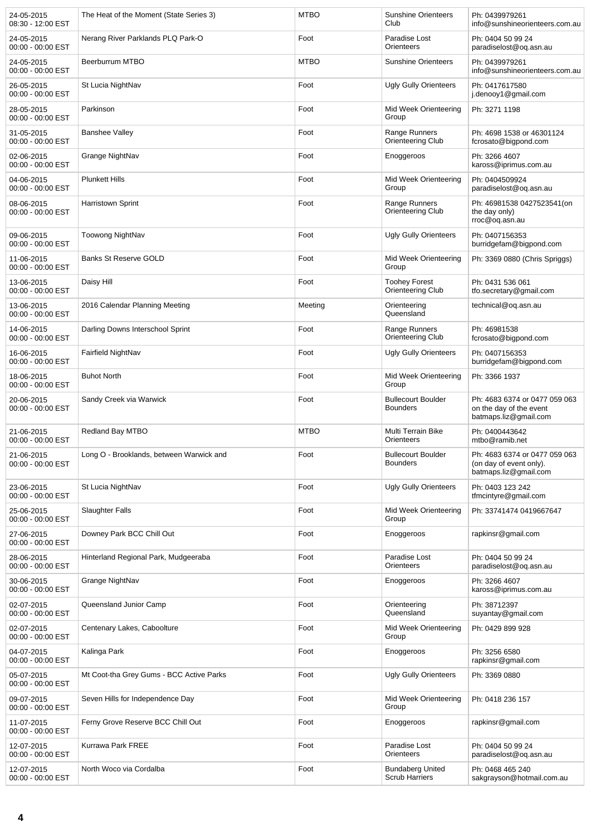| 24-05-2015<br>08:30 - 12:00 EST | The Heat of the Moment (State Series 3)  | <b>MTBO</b> | <b>Sunshine Orienteers</b><br>Club               | Ph: 0439979261<br>info@sunshineorienteers.com.au                                  |
|---------------------------------|------------------------------------------|-------------|--------------------------------------------------|-----------------------------------------------------------------------------------|
| 24-05-2015<br>00:00 - 00:00 EST | Nerang River Parklands PLQ Park-O        | Foot        | Paradise Lost<br>Orienteers                      | Ph: 0404 50 99 24<br>paradiselost@og.asn.au                                       |
| 24-05-2015<br>00:00 - 00:00 EST | Beerburrum MTBO                          | <b>MTBO</b> | <b>Sunshine Orienteers</b>                       | Ph: 0439979261<br>info@sunshineorienteers.com.au                                  |
| 26-05-2015<br>00:00 - 00:00 EST | St Lucia NightNav                        | Foot        | <b>Ugly Gully Orienteers</b>                     | Ph: 0417617580<br>j.denooy1@gmail.com                                             |
| 28-05-2015<br>00:00 - 00:00 EST | Parkinson                                | Foot        | Mid Week Orienteering<br>Group                   | Ph: 3271 1198                                                                     |
| 31-05-2015<br>00:00 - 00:00 EST | <b>Banshee Valley</b>                    | Foot        | Range Runners<br>Orienteering Club               | Ph: 4698 1538 or 46301124<br>fcrosato@bigpond.com                                 |
| 02-06-2015<br>00:00 - 00:00 EST | Grange NightNav                          | Foot        | Enoggeroos                                       | Ph: 3266 4607<br>kaross@iprimus.com.au                                            |
| 04-06-2015<br>00:00 - 00:00 EST | <b>Plunkett Hills</b>                    | Foot        | Mid Week Orienteering<br>Group                   | Ph: 0404509924<br>paradiselost@oq.asn.au                                          |
| 08-06-2015<br>00:00 - 00:00 EST | <b>Harristown Sprint</b>                 | Foot        | Range Runners<br>Orienteering Club               | Ph: 46981538 0427523541(on<br>the day only)<br>rroc@oq.asn.au                     |
| 09-06-2015<br>00:00 - 00:00 EST | Toowong NightNav                         | Foot        | <b>Ugly Gully Orienteers</b>                     | Ph: 0407156353<br>burridgefam@bigpond.com                                         |
| 11-06-2015<br>00:00 - 00:00 EST | <b>Banks St Reserve GOLD</b>             | Foot        | Mid Week Orienteering<br>Group                   | Ph: 3369 0880 (Chris Spriggs)                                                     |
| 13-06-2015<br>00:00 - 00:00 EST | Daisy Hill                               | Foot        | <b>Toohey Forest</b><br>Orienteering Club        | Ph: 0431 536 061<br>tfo.secretary@gmail.com                                       |
| 13-06-2015<br>00:00 - 00:00 EST | 2016 Calendar Planning Meeting           | Meeting     | Orienteering<br>Queensland                       | technical@og.asn.au                                                               |
| 14-06-2015<br>00:00 - 00:00 EST | Darling Downs Interschool Sprint         | Foot        | Range Runners<br>Orienteering Club               | Ph: 46981538<br>fcrosato@bigpond.com                                              |
| 16-06-2015<br>00:00 - 00:00 EST | Fairfield NightNav                       | Foot        | <b>Ugly Gully Orienteers</b>                     | Ph: 0407156353<br>burridgefam@bigpond.com                                         |
| 18-06-2015<br>00:00 - 00:00 EST | <b>Buhot North</b>                       | Foot        | Mid Week Orienteering<br>Group                   | Ph: 3366 1937                                                                     |
| 20-06-2015<br>00:00 - 00:00 EST | Sandy Creek via Warwick                  | Foot        | <b>Bullecourt Boulder</b><br><b>Bounders</b>     | Ph: 4683 6374 or 0477 059 063<br>on the day of the event<br>batmaps.liz@gmail.com |
| 21-06-2015<br>00:00 - 00:00 EST | Redland Bay MTBO                         | <b>MTBO</b> | Multi Terrain Bike<br>Orienteers                 | Ph: 0400443642<br>mtbo@ramib.net                                                  |
| 21-06-2015<br>00:00 - 00:00 EST | Long O - Brooklands, between Warwick and | Foot        | <b>Bullecourt Boulder</b><br><b>Bounders</b>     | Ph: 4683 6374 or 0477 059 063<br>(on day of event only).<br>batmaps.liz@gmail.com |
| 23-06-2015<br>00:00 - 00:00 EST | St Lucia NightNav                        | Foot        | <b>Ugly Gully Orienteers</b>                     | Ph: 0403 123 242<br>tfmcintyre@gmail.com                                          |
| 25-06-2015<br>00:00 - 00:00 EST | <b>Slaughter Falls</b>                   | Foot        | Mid Week Orienteering<br>Group                   | Ph: 33741474 0419667647                                                           |
| 27-06-2015<br>00:00 - 00:00 EST | Downey Park BCC Chill Out                | Foot        | Enoggeroos                                       | rapkinsr@gmail.com                                                                |
| 28-06-2015<br>00:00 - 00:00 EST | Hinterland Regional Park, Mudgeeraba     | Foot        | Paradise Lost<br>Orienteers                      | Ph: 0404 50 99 24<br>paradiselost@oq.asn.au                                       |
| 30-06-2015<br>00:00 - 00:00 EST | Grange NightNav                          | Foot        | Enoggeroos                                       | Ph: 3266 4607<br>kaross@iprimus.com.au                                            |
| 02-07-2015<br>00:00 - 00:00 EST | Queensland Junior Camp                   | Foot        | Orienteering<br>Queensland                       | Ph: 38712397<br>suyantay@gmail.com                                                |
| 02-07-2015<br>00:00 - 00:00 EST | Centenary Lakes, Caboolture              | Foot        | Mid Week Orienteering<br>Group                   | Ph: 0429 899 928                                                                  |
| 04-07-2015<br>00:00 - 00:00 EST | Kalinga Park                             | Foot        | Enoggeroos                                       | Ph: 3256 6580<br>rapkinsr@gmail.com                                               |
| 05-07-2015<br>00:00 - 00:00 EST | Mt Coot-tha Grey Gums - BCC Active Parks | Foot        | <b>Ugly Gully Orienteers</b>                     | Ph: 3369 0880                                                                     |
| 09-07-2015<br>00:00 - 00:00 EST | Seven Hills for Independence Day         | Foot        | Mid Week Orienteering<br>Group                   | Ph: 0418 236 157                                                                  |
| 11-07-2015<br>00:00 - 00:00 EST | Ferny Grove Reserve BCC Chill Out        | Foot        | Enoggeroos                                       | rapkinsr@gmail.com                                                                |
| 12-07-2015<br>00:00 - 00:00 EST | Kurrawa Park FREE                        | Foot        | Paradise Lost<br>Orienteers                      | Ph: 0404 50 99 24<br>paradiselost@oq.asn.au                                       |
| 12-07-2015<br>00:00 - 00:00 EST | North Woco via Cordalba                  | Foot        | <b>Bundaberg United</b><br><b>Scrub Harriers</b> | Ph: 0468 465 240<br>sakgrayson@hotmail.com.au                                     |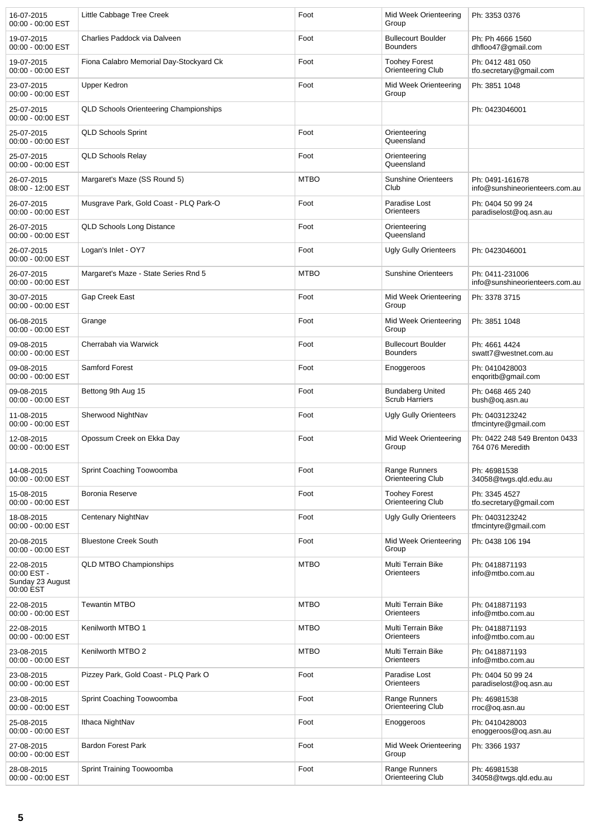| 16-07-2015<br>00:00 - 00:00 EST                            | Little Cabbage Tree Creek                     | Foot        | Mid Week Orienteering<br>Group                   | Ph: 3353 0376                                     |
|------------------------------------------------------------|-----------------------------------------------|-------------|--------------------------------------------------|---------------------------------------------------|
| 19-07-2015<br>00:00 - 00:00 EST                            | Charlies Paddock via Dalveen                  | Foot        | <b>Bullecourt Boulder</b><br><b>Bounders</b>     | Ph: Ph 4666 1560<br>dhfloo47@gmail.com            |
| 19-07-2015<br>00:00 - 00:00 EST                            | Fiona Calabro Memorial Day-Stockyard Ck       | Foot        | <b>Toohey Forest</b><br>Orienteering Club        | Ph: 0412 481 050<br>tfo.secretary@gmail.com       |
| 23-07-2015<br>00:00 - 00:00 EST                            | Upper Kedron                                  | Foot        | Mid Week Orienteering<br>Group                   | Ph: 3851 1048                                     |
| 25-07-2015<br>00:00 - 00:00 EST                            | <b>QLD Schools Orienteering Championships</b> |             |                                                  | Ph: 0423046001                                    |
| 25-07-2015<br>00:00 - 00:00 EST                            | <b>QLD Schools Sprint</b>                     | Foot        | Orienteering<br>Queensland                       |                                                   |
| 25-07-2015<br>00:00 - 00:00 EST                            | <b>QLD Schools Relay</b>                      | Foot        | Orienteering<br>Queensland                       |                                                   |
| 26-07-2015<br>08:00 - 12:00 EST                            | Margaret's Maze (SS Round 5)                  | <b>MTBO</b> | <b>Sunshine Orienteers</b><br>Club               | Ph: 0491-161678<br>info@sunshineorienteers.com.au |
| 26-07-2015<br>00:00 - 00:00 EST                            | Musgrave Park, Gold Coast - PLQ Park-O        | Foot        | Paradise Lost<br>Orienteers                      | Ph: 0404 50 99 24<br>paradiselost@og.asn.au       |
| 26-07-2015<br>00:00 - 00:00 EST                            | <b>QLD Schools Long Distance</b>              | Foot        | Orienteering<br>Queensland                       |                                                   |
| 26-07-2015<br>00:00 - 00:00 EST                            | Logan's Inlet - OY7                           | Foot        | <b>Ugly Gully Orienteers</b>                     | Ph: 0423046001                                    |
| 26-07-2015<br>00:00 - 00:00 EST                            | Margaret's Maze - State Series Rnd 5          | <b>MTBO</b> | <b>Sunshine Orienteers</b>                       | Ph: 0411-231006<br>info@sunshineorienteers.com.au |
| 30-07-2015<br>00:00 - 00:00 EST                            | Gap Creek East                                | Foot        | Mid Week Orienteering<br>Group                   | Ph: 3378 3715                                     |
| 06-08-2015<br>00:00 - 00:00 EST                            | Grange                                        | Foot        | Mid Week Orienteering<br>Group                   | Ph: 3851 1048                                     |
| 09-08-2015<br>00:00 - 00:00 EST                            | Cherrabah via Warwick                         | Foot        | <b>Bullecourt Boulder</b><br><b>Bounders</b>     | Ph: 4661 4424<br>swatt7@westnet.com.au            |
| 09-08-2015<br>00:00 - 00:00 EST                            | <b>Samford Forest</b>                         | Foot        | Enoggeroos                                       | Ph: 0410428003<br>enqoritb@gmail.com              |
| 09-08-2015<br>00:00 - 00:00 EST                            | Bettong 9th Aug 15                            | Foot        | <b>Bundaberg United</b><br><b>Scrub Harriers</b> | Ph: 0468 465 240<br>bush@oq.asn.au                |
| 11-08-2015<br>00:00 - 00:00 EST                            | Sherwood NightNav                             | Foot        | <b>Ugly Gully Orienteers</b>                     | Ph: 0403123242<br>tfmcintyre@gmail.com            |
| 12-08-2015<br>00:00 - 00:00 EST                            | Opossum Creek on Ekka Day                     | Foot        | Mid Week Orienteering<br>Group                   | Ph: 0422 248 549 Brenton 0433<br>764 076 Meredith |
| 14-08-2015<br>00:00 - 00:00 EST                            | Sprint Coaching Toowoomba                     | Foot        | Range Runners<br>Orienteering Club               | Ph: 46981538<br>34058@twgs.gld.edu.au             |
| 15-08-2015<br>00:00 - 00:00 EST                            | Boronia Reserve                               | Foot        | <b>Toohey Forest</b><br>Orienteering Club        | Ph: 3345 4527<br>tfo.secretary@gmail.com          |
| 18-08-2015<br>00:00 - 00:00 EST                            | Centenary NightNav                            | Foot        | <b>Ugly Gully Orienteers</b>                     | Ph: 0403123242<br>tfmcintyre@gmail.com            |
| 20-08-2015<br>00:00 - 00:00 EST                            | <b>Bluestone Creek South</b>                  | Foot        | Mid Week Orienteering<br>Group                   | Ph: 0438 106 194                                  |
| 22-08-2015<br>00:00 EST -<br>Sunday 23 August<br>00:00 EST | <b>QLD MTBO Championships</b>                 | <b>MTBO</b> | Multi Terrain Bike<br>Orienteers                 | Ph: 0418871193<br>info@mtbo.com.au                |
| 22-08-2015<br>00:00 - 00:00 EST                            | <b>Tewantin MTBO</b>                          | <b>MTBO</b> | Multi Terrain Bike<br>Orienteers                 | Ph: 0418871193<br>info@mtbo.com.au                |
| 22-08-2015<br>00:00 - 00:00 EST                            | Kenilworth MTBO 1                             | <b>MTBO</b> | Multi Terrain Bike<br>Orienteers                 | Ph: 0418871193<br>info@mtbo.com.au                |
| 23-08-2015<br>00:00 - 00:00 EST                            | Kenilworth MTBO 2                             | <b>MTBO</b> | Multi Terrain Bike<br>Orienteers                 | Ph: 0418871193<br>info@mtbo.com.au                |
| 23-08-2015<br>00:00 - 00:00 EST                            | Pizzey Park, Gold Coast - PLQ Park O          | Foot        | Paradise Lost<br>Orienteers                      | Ph: 0404 50 99 24<br>paradiselost@oq.asn.au       |
| 23-08-2015<br>00:00 - 00:00 EST                            | Sprint Coaching Toowoomba                     | Foot        | Range Runners<br>Orienteering Club               | Ph: 46981538<br>rroc@oq.asn.au                    |
| 25-08-2015<br>00:00 - 00:00 EST                            | Ithaca NightNav                               | Foot        | Enoggeroos                                       | Ph: 0410428003<br>enoggeroos@oq.asn.au            |
| 27-08-2015<br>00:00 - 00:00 EST                            | <b>Bardon Forest Park</b>                     | Foot        | Mid Week Orienteering<br>Group                   | Ph: 3366 1937                                     |
| 28-08-2015<br>00:00 - 00:00 EST                            | Sprint Training Toowoomba                     | Foot        | Range Runners<br>Orienteering Club               | Ph: 46981538<br>34058@twgs.gld.edu.au             |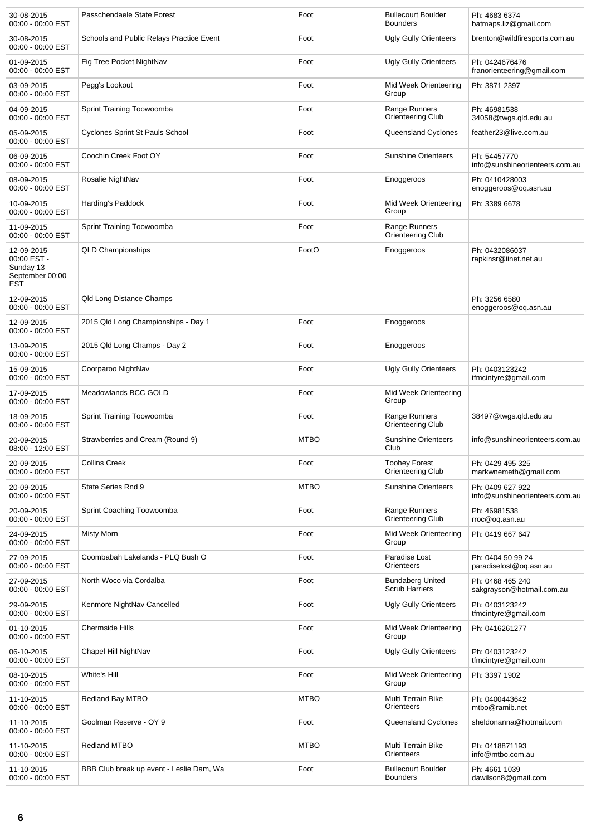| 30-08-2015<br>00:00 - 00:00 EST                                         | Passchendaele State Forest               | Foot        | <b>Bullecourt Boulder</b><br><b>Bounders</b> | Ph: 4683 6374<br>batmaps.liz@gmail.com             |
|-------------------------------------------------------------------------|------------------------------------------|-------------|----------------------------------------------|----------------------------------------------------|
| 30-08-2015<br>00:00 - 00:00 EST                                         | Schools and Public Relays Practice Event | Foot        | <b>Ugly Gully Orienteers</b>                 | brenton@wildfiresports.com.au                      |
| 01-09-2015<br>00:00 - 00:00 EST                                         | Fig Tree Pocket NightNav                 | Foot        | <b>Ugly Gully Orienteers</b>                 | Ph: 0424676476<br>franorienteering@gmail.com       |
| 03-09-2015<br>00:00 - 00:00 EST                                         | Pegg's Lookout                           | Foot        | Mid Week Orienteering<br>Group               | Ph: 3871 2397                                      |
| 04-09-2015<br>00:00 - 00:00 EST                                         | Sprint Training Toowoomba                | Foot        | Range Runners<br>Orienteering Club           | Ph: 46981538<br>34058@twgs.qld.edu.au              |
| 05-09-2015<br>00:00 - 00:00 EST                                         | <b>Cyclones Sprint St Pauls School</b>   | Foot        | Queensland Cyclones                          | feather23@live.com.au                              |
| 06-09-2015<br>00:00 - 00:00 EST                                         | Coochin Creek Foot OY                    | Foot        | <b>Sunshine Orienteers</b>                   | Ph: 54457770<br>info@sunshineorienteers.com.au     |
| 08-09-2015<br>00:00 - 00:00 EST                                         | Rosalie NightNav                         | Foot        | Enoggeroos                                   | Ph: 0410428003<br>enoggeroos@oq.asn.au             |
| 10-09-2015<br>00:00 - 00:00 EST                                         | Harding's Paddock                        | Foot        | Mid Week Orienteering<br>Group               | Ph: 3389 6678                                      |
| 11-09-2015<br>00:00 - 00:00 EST                                         | Sprint Training Toowoomba                | Foot        | Range Runners<br>Orienteering Club           |                                                    |
| 12-09-2015<br>00:00 EST -<br>Sunday 13<br>September 00:00<br><b>EST</b> | <b>QLD Championships</b>                 | FootO       | Enoggeroos                                   | Ph: 0432086037<br>rapkinsr@iinet.net.au            |
| 12-09-2015<br>00:00 - 00:00 EST                                         | Qld Long Distance Champs                 |             |                                              | Ph: 3256 6580<br>enoggeroos@oq.asn.au              |
| 12-09-2015<br>00:00 - 00:00 EST                                         | 2015 Qld Long Championships - Day 1      | Foot        | Enoggeroos                                   |                                                    |
| 13-09-2015<br>00:00 - 00:00 EST                                         | 2015 Qld Long Champs - Day 2             | Foot        | Enoggeroos                                   |                                                    |
| 15-09-2015<br>00:00 - 00:00 EST                                         | Coorparoo NightNav                       | Foot        | <b>Ugly Gully Orienteers</b>                 | Ph: 0403123242<br>tfmcintyre@gmail.com             |
| 17-09-2015<br>00:00 - 00:00 EST                                         | Meadowlands BCC GOLD                     | Foot        | Mid Week Orienteering<br>Group               |                                                    |
| 18-09-2015<br>00:00 - 00:00 EST                                         | Sprint Training Toowoomba                | Foot        | Range Runners<br>Orienteering Club           | 38497@twgs.qld.edu.au                              |
| 20-09-2015<br>08:00 - 12:00 EST                                         | Strawberries and Cream (Round 9)         | <b>MTBO</b> | <b>Sunshine Orienteers</b><br>Club           | info@sunshineorienteers.com.au                     |
| 20-09-2015<br>00:00 - 00:00 EST                                         | <b>Collins Creek</b>                     | Foot        | <b>Toohey Forest</b><br>Orienteering Club    | Ph: 0429 495 325<br>markwnemeth@gmail.com          |
| 20-09-2015<br>00:00 - 00:00 EST                                         | State Series Rnd 9                       | <b>MTBO</b> | <b>Sunshine Orienteers</b>                   | Ph: 0409 627 922<br>info@sunshineorienteers.com.au |
| 20-09-2015<br>00:00 - 00:00 EST                                         | Sprint Coaching Toowoomba                | Foot        | Range Runners<br>Orienteering Club           | Ph: 46981538<br>rroc@oq.asn.au                     |
| 24-09-2015<br>00:00 - 00:00 EST                                         | Misty Morn                               | Foot        | Mid Week Orienteering<br>Group               | Ph: 0419 667 647                                   |
| 27-09-2015<br>00:00 - 00:00 EST                                         | Coombabah Lakelands - PLQ Bush O         | Foot        | Paradise Lost<br>Orienteers                  | Ph: 0404 50 99 24<br>paradiselost@oq.asn.au        |
| 27-09-2015<br>00:00 - 00:00 EST                                         | North Woco via Cordalba                  | Foot        | <b>Bundaberg United</b><br>Scrub Harriers    | Ph: 0468 465 240<br>sakgrayson@hotmail.com.au      |
| 29-09-2015<br>00:00 - 00:00 EST                                         | Kenmore NightNav Cancelled               | Foot        | <b>Ugly Gully Orienteers</b>                 | Ph: 0403123242<br>tfmcintyre@gmail.com             |
| 01-10-2015<br>00:00 - 00:00 EST                                         | <b>Chermside Hills</b>                   | Foot        | Mid Week Orienteering<br>Group               | Ph: 0416261277                                     |
| 06-10-2015<br>00:00 - 00:00 EST                                         | Chapel Hill NightNav                     | Foot        | <b>Ugly Gully Orienteers</b>                 | Ph: 0403123242<br>tfmcintyre@gmail.com             |
| 08-10-2015<br>00:00 - 00:00 EST                                         | White's Hill                             | Foot        | Mid Week Orienteering<br>Group               | Ph: 3397 1902                                      |
| 11-10-2015<br>00:00 - 00:00 EST                                         | Redland Bay MTBO                         | <b>MTBO</b> | Multi Terrain Bike<br>Orienteers             | Ph: 0400443642<br>mtbo@ramib.net                   |
| 11-10-2015<br>00:00 - 00:00 EST                                         | Goolman Reserve - OY 9                   | Foot        | Queensland Cyclones                          | sheldonanna@hotmail.com                            |
| 11-10-2015<br>00:00 - 00:00 EST                                         | Redland MTBO                             | <b>MTBO</b> | Multi Terrain Bike<br>Orienteers             | Ph: 0418871193<br>info@mtbo.com.au                 |
| 11-10-2015<br>00:00 - 00:00 EST                                         | BBB Club break up event - Leslie Dam, Wa | Foot        | <b>Bullecourt Boulder</b><br><b>Bounders</b> | Ph: 4661 1039<br>dawilson8@gmail.com               |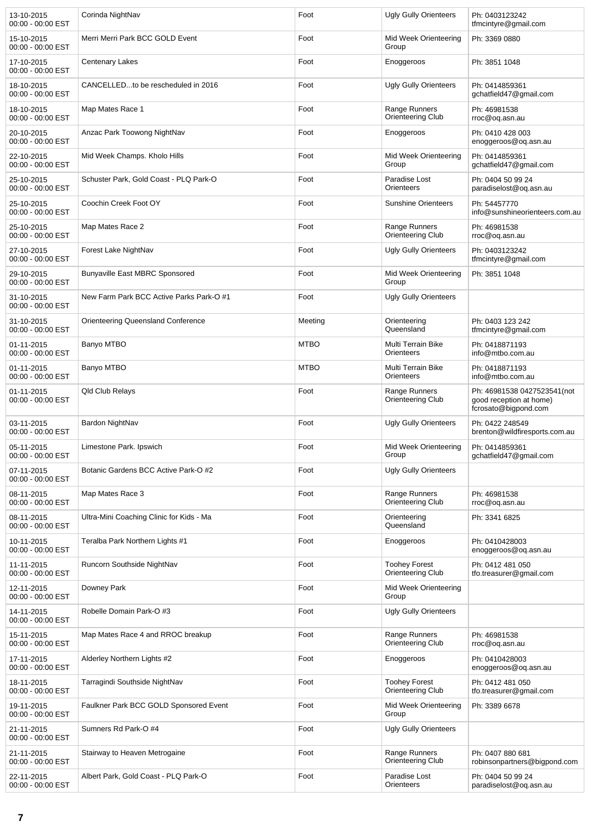| 13-10-2015<br>00:00 - 00:00 EST   | Corinda NightNav                         | Foot        | <b>Ugly Gully Orienteers</b>              | Ph: 0403123242<br>tfmcintyre@gmail.com                                         |
|-----------------------------------|------------------------------------------|-------------|-------------------------------------------|--------------------------------------------------------------------------------|
| 15-10-2015<br>00:00 - 00:00 EST   | Merri Merri Park BCC GOLD Event          | Foot        | Mid Week Orienteering<br>Group            | Ph: 3369 0880                                                                  |
| 17-10-2015<br>$00:00 - 00:00$ EST | <b>Centenary Lakes</b>                   | Foot        | Enoggeroos                                | Ph: 3851 1048                                                                  |
| 18-10-2015<br>00:00 - 00:00 EST   | CANCELLEDto be rescheduled in 2016       | Foot        | <b>Ugly Gully Orienteers</b>              | Ph: 0414859361<br>gchatfield47@gmail.com                                       |
| 18-10-2015<br>00:00 - 00:00 EST   | Map Mates Race 1                         | Foot        | Range Runners<br>Orienteering Club        | Ph: 46981538<br>rroc@oq.asn.au                                                 |
| 20-10-2015<br>00:00 - 00:00 EST   | Anzac Park Toowong NightNav              | Foot        | Enoggeroos                                | Ph: 0410 428 003<br>enoggeroos@oq.asn.au                                       |
| 22-10-2015<br>00:00 - 00:00 EST   | Mid Week Champs. Kholo Hills             | Foot        | Mid Week Orienteering<br>Group            | Ph: 0414859361<br>gchatfield47@gmail.com                                       |
| 25-10-2015<br>00:00 - 00:00 EST   | Schuster Park, Gold Coast - PLQ Park-O   | Foot        | Paradise Lost<br>Orienteers               | Ph: 0404 50 99 24<br>paradiselost@oq.asn.au                                    |
| 25-10-2015<br>00:00 - 00:00 EST   | Coochin Creek Foot OY                    | Foot        | <b>Sunshine Orienteers</b>                | Ph: 54457770<br>info@sunshineorienteers.com.au                                 |
| 25-10-2015<br>00:00 - 00:00 EST   | Map Mates Race 2                         | Foot        | Range Runners<br>Orienteering Club        | Ph: 46981538<br>rroc@oq.asn.au                                                 |
| 27-10-2015<br>00:00 - 00:00 EST   | Forest Lake NightNav                     | Foot        | <b>Ugly Gully Orienteers</b>              | Ph: 0403123242<br>tfmcintyre@gmail.com                                         |
| 29-10-2015<br>00:00 - 00:00 EST   | <b>Bunyaville East MBRC Sponsored</b>    | Foot        | Mid Week Orienteering<br>Group            | Ph: 3851 1048                                                                  |
| 31-10-2015<br>00:00 - 00:00 EST   | New Farm Park BCC Active Parks Park-O #1 | Foot        | Ugly Gully Orienteers                     |                                                                                |
| 31-10-2015<br>00:00 - 00:00 EST   | Orienteering Queensland Conference       | Meeting     | Orienteering<br>Queensland                | Ph: 0403 123 242<br>tfmcintyre@gmail.com                                       |
| 01-11-2015<br>00:00 - 00:00 EST   | Banyo MTBO                               | <b>MTBO</b> | Multi Terrain Bike<br>Orienteers          | Ph: 0418871193<br>info@mtbo.com.au                                             |
| 01-11-2015<br>00:00 - 00:00 EST   | Banyo MTBO                               | <b>MTBO</b> | Multi Terrain Bike<br>Orienteers          | Ph: 0418871193<br>info@mtbo.com.au                                             |
| 01-11-2015<br>00:00 - 00:00 EST   | Qld Club Relays                          | Foot        | Range Runners<br>Orienteering Club        | Ph: 46981538 0427523541(not<br>good reception at home)<br>fcrosato@bigpond.com |
| 03-11-2015<br>00:00 - 00:00 EST   | Bardon NightNav                          | Foot        | <b>Ugly Gully Orienteers</b>              | Ph: 0422 248549<br>brenton@wildfiresports.com.au                               |
| 05-11-2015<br>00:00 - 00:00 EST   | Limestone Park. Ipswich                  | Foot        | Mid Week Orienteering<br>Group            | Ph: 0414859361<br>gchatfield47@gmail.com                                       |
| 07-11-2015<br>00:00 - 00:00 EST   | Botanic Gardens BCC Active Park-O #2     | Foot        | <b>Ugly Gully Orienteers</b>              |                                                                                |
| 08-11-2015<br>00:00 - 00:00 EST   | Map Mates Race 3                         | Foot        | Range Runners<br>Orienteering Club        | Ph: 46981538<br>rroc@oq.asn.au                                                 |
| 08-11-2015<br>00:00 - 00:00 EST   | Ultra-Mini Coaching Clinic for Kids - Ma | Foot        | Orienteering<br>Queensland                | Ph: 3341 6825                                                                  |
| 10-11-2015<br>00:00 - 00:00 EST   | Teralba Park Northern Lights #1          | Foot        | Enoggeroos                                | Ph: 0410428003<br>enoggeroos@oq.asn.au                                         |
| 11-11-2015<br>00:00 - 00:00 EST   | Runcorn Southside NightNav               | Foot        | <b>Toohey Forest</b><br>Orienteering Club | Ph: 0412 481 050<br>tfo.treasurer@gmail.com                                    |
| 12-11-2015<br>00:00 - 00:00 EST   | Downey Park                              | Foot        | Mid Week Orienteering<br>Group            |                                                                                |
| 14-11-2015<br>00:00 - 00:00 EST   | Robelle Domain Park-O #3                 | Foot        | <b>Ugly Gully Orienteers</b>              |                                                                                |
| 15-11-2015<br>00:00 - 00:00 EST   | Map Mates Race 4 and RROC breakup        | Foot        | Range Runners<br>Orienteering Club        | Ph: 46981538<br>rroc@oq.asn.au                                                 |
| 17-11-2015<br>00:00 - 00:00 EST   | Alderley Northern Lights #2              | Foot        | Enoggeroos                                | Ph: 0410428003<br>enoggeroos@oq.asn.au                                         |
| 18-11-2015<br>00:00 - 00:00 EST   | Tarragindi Southside NightNav            | Foot        | <b>Toohey Forest</b><br>Orienteering Club | Ph: 0412 481 050<br>tfo.treasurer@gmail.com                                    |
| 19-11-2015<br>00:00 - 00:00 EST   | Faulkner Park BCC GOLD Sponsored Event   | Foot        | Mid Week Orienteering<br>Group            | Ph: 3389 6678                                                                  |
| 21-11-2015<br>00:00 - 00:00 EST   | Sumners Rd Park-O #4                     | Foot        | <b>Ugly Gully Orienteers</b>              |                                                                                |
| 21-11-2015<br>00:00 - 00:00 EST   | Stairway to Heaven Metrogaine            | Foot        | Range Runners<br>Orienteering Club        | Ph: 0407 880 681<br>robinsonpartners@bigpond.com                               |
| 22-11-2015<br>00:00 - 00:00 EST   | Albert Park, Gold Coast - PLQ Park-O     | Foot        | Paradise Lost<br>Orienteers               | Ph: 0404 50 99 24<br>paradiselost@oq.asn.au                                    |